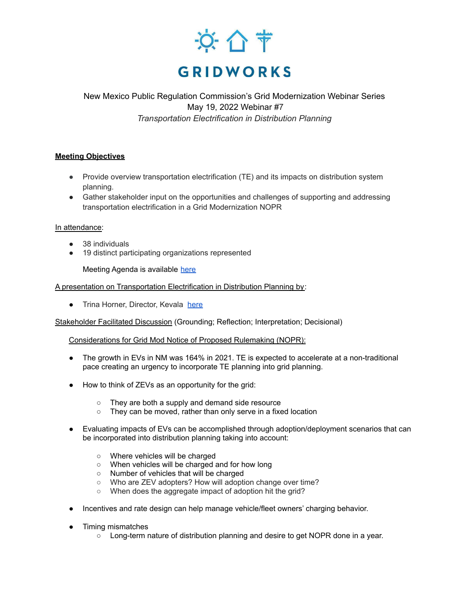

New Mexico Public Regulation Commission's Grid Modernization Webinar Series May 19, 2022 Webinar #7 *Transportation Electrification in Distribution Planning*

# **Meeting Objectives**

- Provide overview transportation electrification (TE) and its impacts on distribution system planning.
- Gather stakeholder input on the opportunities and challenges of supporting and addressing transportation electrification in a Grid Modernization NOPR

## In attendance:

- 38 individuals
- 19 distinct participating organizations represented

Meeting Agenda is available [here](https://gridworks.org/wp-content/uploads/2022/05/May-19-Agenda-Elec-Trans.docx-1.pdf)

## A presentation on Transportation Electrification in Distribution Planning by:

● Trina Horner, Director, Kevala [here](https://gridworks.org/wp-content/uploads/2022/05/Final-NMPRC-Transportation-Electrification-Rulemaking-May-19-2022.pdf)

Stakeholder Facilitated Discussion (Grounding; Reflection; Interpretation; Decisional)

### Considerations for Grid Mod Notice of Proposed Rulemaking (NOPR):

- The growth in EVs in NM was 164% in 2021. TE is expected to accelerate at a non-traditional pace creating an urgency to incorporate TE planning into grid planning.
- How to think of ZEVs as an opportunity for the grid:
	- They are both a supply and demand side resource
	- They can be moved, rather than only serve in a fixed location
- Evaluating impacts of EVs can be accomplished through adoption/deployment scenarios that can be incorporated into distribution planning taking into account:
	- Where vehicles will be charged
	- When vehicles will be charged and for how long
	- Number of vehicles that will be charged
	- Who are ZEV adopters? How will adoption change over time?
	- When does the aggregate impact of adoption hit the grid?
- Incentives and rate design can help manage vehicle/fleet owners' charging behavior.
- Timing mismatches
	- Long-term nature of distribution planning and desire to get NOPR done in a year.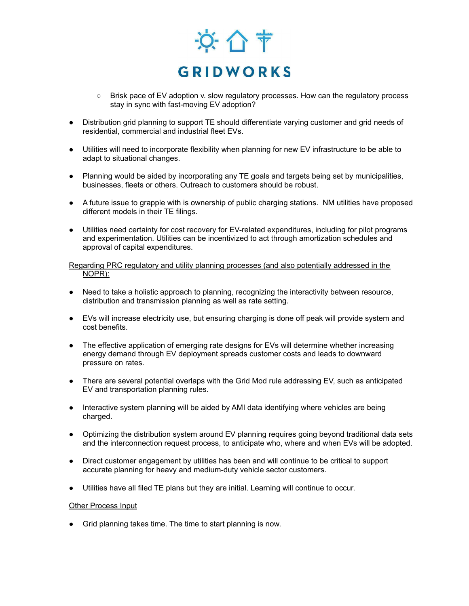

- Brisk pace of EV adoption v. slow regulatory processes. How can the regulatory process stay in sync with fast-moving EV adoption?
- Distribution grid planning to support TE should differentiate varying customer and grid needs of residential, commercial and industrial fleet EVs.
- Utilities will need to incorporate flexibility when planning for new EV infrastructure to be able to adapt to situational changes.
- Planning would be aided by incorporating any TE goals and targets being set by municipalities, businesses, fleets or others. Outreach to customers should be robust.
- A future issue to grapple with is ownership of public charging stations. NM utilities have proposed different models in their TE filings.
- Utilities need certainty for cost recovery for EV-related expenditures, including for pilot programs and experimentation. Utilities can be incentivized to act through amortization schedules and approval of capital expenditures.

#### Regarding PRC regulatory and utility planning processes (and also potentially addressed in the NOPR):

- Need to take a holistic approach to planning, recognizing the interactivity between resource, distribution and transmission planning as well as rate setting.
- EVs will increase electricity use, but ensuring charging is done off peak will provide system and cost benefits.
- The effective application of emerging rate designs for EVs will determine whether increasing energy demand through EV deployment spreads customer costs and leads to downward pressure on rates.
- There are several potential overlaps with the Grid Mod rule addressing EV, such as anticipated EV and transportation planning rules.
- Interactive system planning will be aided by AMI data identifying where vehicles are being charged.
- Optimizing the distribution system around EV planning requires going beyond traditional data sets and the interconnection request process, to anticipate who, where and when EVs will be adopted.
- Direct customer engagement by utilities has been and will continue to be critical to support accurate planning for heavy and medium-duty vehicle sector customers.
- Utilities have all filed TE plans but they are initial. Learning will continue to occur.

### Other Process Input

● Grid planning takes time. The time to start planning is now.